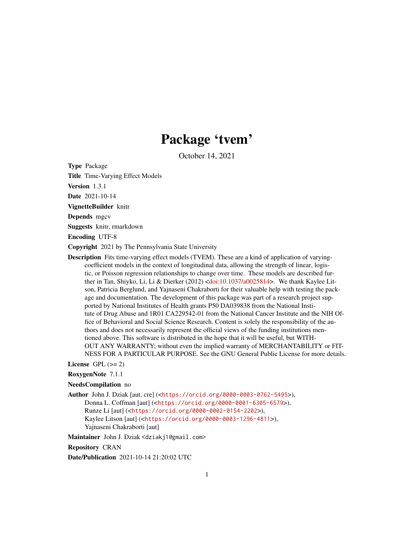## Package 'tvem'

October 14, 2021

Type Package

Title Time-Varying Effect Models

Version 1.3.1

Date 2021-10-14

VignetteBuilder knitr

Depends mgcv

Suggests knitr, rmarkdown

Encoding UTF-8

Copyright 2021 by The Pennsylvania State University

Description Fits time-varying effect models (TVEM). These are a kind of application of varyingcoefficient models in the context of longitudinal data, allowing the strength of linear, logistic, or Poisson regression relationships to change over time. These models are described further in Tan, Shiyko, Li, Li & Dierker (2012) [<doi:10.1037/a0025814>](https://doi.org/10.1037/a0025814). We thank Kaylee Litson, Patricia Berglund, and Yajnaseni Chakraborti for their valuable help with testing the package and documentation. The development of this package was part of a research project supported by National Institutes of Health grants P50 DA039838 from the National Institute of Drug Abuse and 1R01 CA229542-01 from the National Cancer Institute and the NIH Office of Behavioral and Social Science Research. Content is solely the responsibility of the authors and does not necessarily represent the official views of the funding institutions mentioned above. This software is distributed in the hope that it will be useful, but WITH-OUT ANY WARRANTY; without even the implied warranty of MERCHANTABILITY or FIT-NESS FOR A PARTICULAR PURPOSE. See the GNU General Public License for more details.

#### License GPL  $(>= 2)$

RoxygenNote 7.1.1

#### NeedsCompilation no

Author John J. Dziak [aut, cre] (<<https://orcid.org/0000-0003-0762-5495>>), Donna L. Coffman [aut] (<<https://orcid.org/0000-0001-6305-6579>>), Runze Li [aut] (<<https://orcid.org/0000-0002-0154-2202>>), Kaylee Litson [aut] (<<https://orcid.org/0000-0003-1296-4811>>), Yajnaseni Chakraborti [aut]

Maintainer John J. Dziak <dziakj1@gmail.com>

Repository CRAN

Date/Publication 2021-10-14 21:20:02 UTC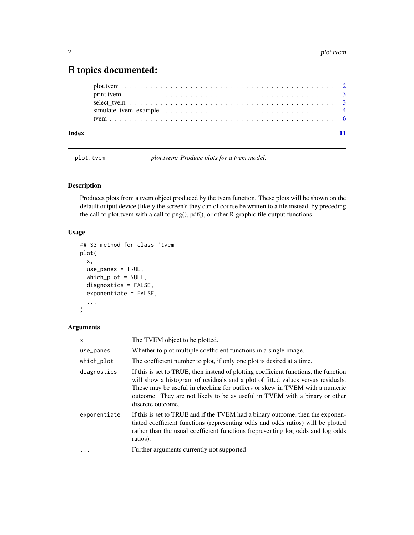### <span id="page-1-0"></span>R topics documented:

| Index |  |  |
|-------|--|--|

plot.tvem *plot.tvem: Produce plots for a tvem model.*

#### Description

Produces plots from a tvem object produced by the tvem function. These plots will be shown on the default output device (likely the screen); they can of course be written to a file instead, by preceding the call to plot.tvem with a call to png(), pdf(), or other R graphic file output functions.

#### Usage

```
## S3 method for class 'tvem'
plot(
 x,
 use_panes = TRUE,
 which_plot = NULL,
  diagnostics = FALSE,
  exponentiate = FALSE,
  ...
)
```
#### Arguments

| $\mathsf{x}$ | The TVEM object to be plotted.                                                                                                                                                                                                                                                                                                                              |
|--------------|-------------------------------------------------------------------------------------------------------------------------------------------------------------------------------------------------------------------------------------------------------------------------------------------------------------------------------------------------------------|
| use_panes    | Whether to plot multiple coefficient functions in a single image.                                                                                                                                                                                                                                                                                           |
| which_plot   | The coefficient number to plot, if only one plot is desired at a time.                                                                                                                                                                                                                                                                                      |
| diagnostics  | If this is set to TRUE, then instead of plotting coefficient functions, the function<br>will show a histogram of residuals and a plot of fitted values versus residuals.<br>These may be useful in checking for outliers or skew in TVEM with a numeric<br>outcome. They are not likely to be as useful in TVEM with a binary or other<br>discrete outcome. |
| exponentiate | If this is set to TRUE and if the TVEM had a binary outcome, then the exponen-<br>tiated coefficient functions (representing odds and odds ratios) will be plotted<br>rather than the usual coefficient functions (representing log odds and log odds<br>ratios).                                                                                           |
|              | Further arguments currently not supported                                                                                                                                                                                                                                                                                                                   |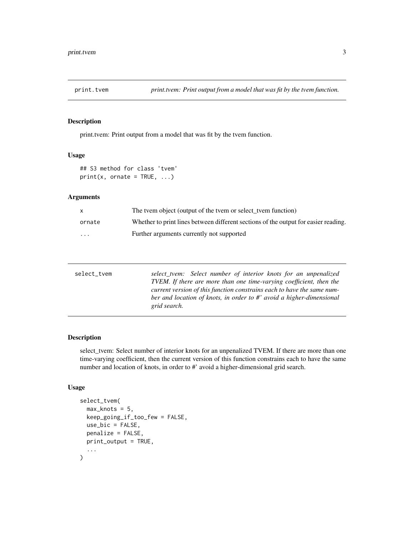<span id="page-2-0"></span>

#### Description

print.tvem: Print output from a model that was fit by the tvem function.

#### Usage

## S3 method for class 'tvem'  $print(x, \text{ or} \text{rate} = \text{TRUE}, \ldots)$ 

#### Arguments

| X      | The tvem object (output of the tvem or select tvem function)                        |
|--------|-------------------------------------------------------------------------------------|
| ornate | Whether to print lines between different sections of the output for easier reading. |
| .      | Further arguments currently not supported                                           |

| select_tvem | select_tvem: Select number of interior knots for an unpenalized            |
|-------------|----------------------------------------------------------------------------|
|             | <b>TVEM.</b> If there are more than one time-varying coefficient, then the |
|             | current version of this function constrains each to have the same num-     |
|             | ber and location of knots, in order to #' avoid a higher-dimensional       |
|             | grid search.                                                               |
|             |                                                                            |

#### Description

select\_tvem: Select number of interior knots for an unpenalized TVEM. If there are more than one time-varying coefficient, then the current version of this function constrains each to have the same number and location of knots, in order to #' avoid a higher-dimensional grid search.

#### Usage

```
select_tvem(
 max_knots = 5,
 keep_going_if_too_few = FALSE,
 use_bic = FALSE,
 penalize = FALSE,
 print_output = TRUE,
  ...
)
```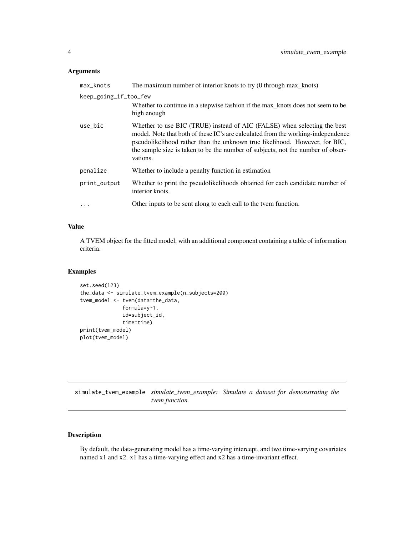#### <span id="page-3-0"></span>Arguments

| max_knots             | The maximum number of interior knots to try (0 through max_knots)                                                                                                                                                                                                                                                                          |
|-----------------------|--------------------------------------------------------------------------------------------------------------------------------------------------------------------------------------------------------------------------------------------------------------------------------------------------------------------------------------------|
| keep_going_if_too_few |                                                                                                                                                                                                                                                                                                                                            |
|                       | Whether to continue in a stepwise fashion if the max_knots does not seem to be<br>high enough                                                                                                                                                                                                                                              |
| use_bic               | Whether to use BIC (TRUE) instead of AIC (FALSE) when selecting the best<br>model. Note that both of these IC's are calculated from the working-independence<br>pseudolikelihood rather than the unknown true likelihood. However, for BIC,<br>the sample size is taken to be the number of subjects, not the number of obser-<br>vations. |
| penalize              | Whether to include a penalty function in estimation                                                                                                                                                                                                                                                                                        |
| print_output          | Whether to print the pseudolikelihoods obtained for each candidate number of<br>interior knots.                                                                                                                                                                                                                                            |
| $\ddotsc$             | Other inputs to be sent along to each call to the tvem function.                                                                                                                                                                                                                                                                           |

#### Value

A TVEM object for the fitted model, with an additional component containing a table of information criteria.

#### Examples

```
set.seed(123)
the_data <- simulate_tvem_example(n_subjects=200)
tvem_model <- tvem(data=the_data,
              formula=y~1,
              id=subject_id,
              time=time)
print(tvem_model)
plot(tvem_model)
```
simulate\_tvem\_example *simulate\_tvem\_example: Simulate a dataset for demonstrating the tvem function.*

#### Description

By default, the data-generating model has a time-varying intercept, and two time-varying covariates named x1 and x2. x1 has a time-varying effect and x2 has a time-invariant effect.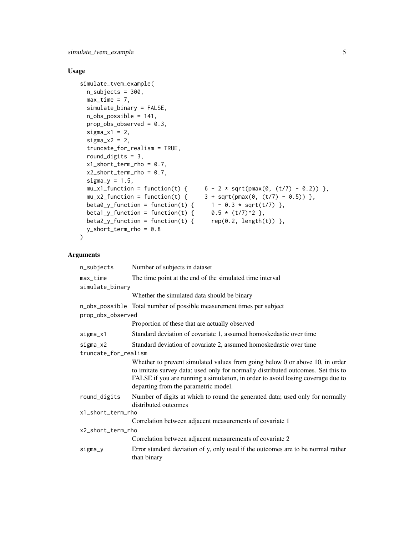simulate\_tvem\_example 5

#### Usage

```
simulate_tvem_example(
 n_subjects = 300,
 max_time = 7,simulate_binary = FALSE,
 n_obs_possible = 141,
 prop\_obs\_observed = 0.3,
  signa_x1 = 2,
  signa_x^2 = 2,
  truncate_for_realism = TRUE,
  round_digits = 3,
 x1_short_term_rho = 0.7,
  x2_short_term_rho = 0.7,
  signa_y = 1.5,
 mu_x1_function = function(t) { 6 - 2 * sqrt(pmax(0, (t/7) - 0.2)) },
 mu_x^2-function = function(t) { 3 + sqrt(pmax(0, (t/7) - 0.5)) },
 beta0_y_function = function(t) { 1 - 0.3 * sqrt(t/7) },<br>beta1_y_function = function(t) { 0.5 * (t/7)^2 },
 beta1_y_function = function(t) {
 beta2_y_function = function(t) { rep(0.2, length(t)) },
 y_short_term_rho = 0.8
\mathcal{L}
```
#### Arguments

| n_subjects           | Number of subjects in dataset                                                                                                                                                                                                                                                                    |
|----------------------|--------------------------------------------------------------------------------------------------------------------------------------------------------------------------------------------------------------------------------------------------------------------------------------------------|
| max_time             | The time point at the end of the simulated time interval                                                                                                                                                                                                                                         |
| simulate_binary      |                                                                                                                                                                                                                                                                                                  |
|                      | Whether the simulated data should be binary                                                                                                                                                                                                                                                      |
|                      | n_obs_possible Total number of possible measurement times per subject                                                                                                                                                                                                                            |
| prop_obs_observed    |                                                                                                                                                                                                                                                                                                  |
|                      | Proportion of these that are actually observed                                                                                                                                                                                                                                                   |
| sigma_x1             | Standard deviation of covariate 1, assumed homoskedastic over time                                                                                                                                                                                                                               |
| $sigma_x2$           | Standard deviation of covariate 2, assumed homoskedastic over time                                                                                                                                                                                                                               |
| truncate_for_realism |                                                                                                                                                                                                                                                                                                  |
|                      | Whether to prevent simulated values from going below $0$ or above $10$ , in order<br>to imitate survey data; used only for normally distributed outcomes. Set this to<br>FALSE if you are running a simulation, in order to avoid losing coverage due to<br>departing from the parametric model. |
| round_digits         | Number of digits at which to round the generated data; used only for normally<br>distributed outcomes                                                                                                                                                                                            |
| x1_short_term_rho    |                                                                                                                                                                                                                                                                                                  |
|                      | Correlation between adjacent measurements of covariate 1                                                                                                                                                                                                                                         |
| x2_short_term_rho    |                                                                                                                                                                                                                                                                                                  |
|                      | Correlation between adjacent measurements of covariate 2                                                                                                                                                                                                                                         |
| sigma_y              | Error standard deviation of y, only used if the outcomes are to be normal rather<br>than binary                                                                                                                                                                                                  |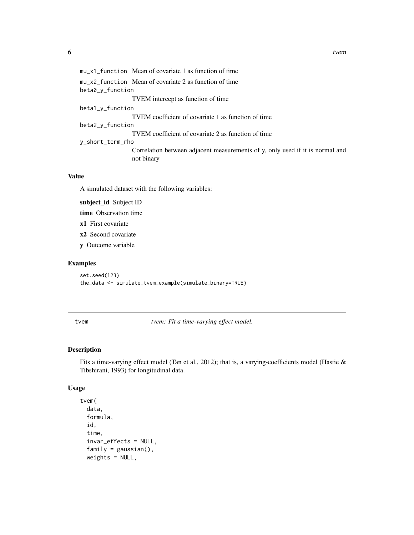```
mu_x1_function Mean of covariate 1 as function of time
mu_x2_function Mean of covariate 2 as function of time
beta0_y_function
                 TVEM intercept as function of time
beta1_y_function
                  TVEM coefficient of covariate 1 as function of time
beta2_y_function
                 TVEM coefficient of covariate 2 as function of time
y_short_term_rho
                 Correlation between adjacent measurements of y, only used if it is normal and
                 not binary
```
#### Value

A simulated dataset with the following variables:

subject\_id Subject ID

time Observation time

x1 First covariate

x2 Second covariate

y Outcome variable

#### Examples

set.seed(123) the\_data <- simulate\_tvem\_example(simulate\_binary=TRUE)

tvem *tvem: Fit a time-varying effect model.*

#### Description

Fits a time-varying effect model (Tan et al., 2012); that is, a varying-coefficients model (Hastie & Tibshirani, 1993) for longitudinal data.

#### Usage

```
tvem(
  data,
  formula,
  id,
  time,
  invar_effects = NULL,
  family = gaussian(),
  weights = NULL,
```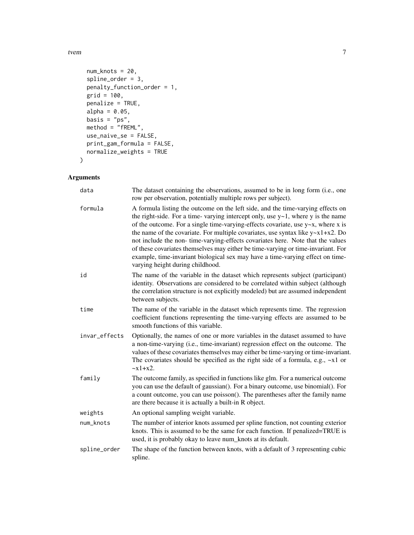tvem  $\sim$  7

```
num_knots = 20,
 spline_order = 3,
 penalty_function_order = 1,
 grid = 100,
 penalize = TRUE,
 alpha = 0.05,
 basis = "ps",method = "fREM."use_naive_se = FALSE,
 print_gam_formula = FALSE,
 normalize_weights = TRUE
\mathcal{L}
```
#### Arguments

| data          | The dataset containing the observations, assumed to be in long form (i.e., one<br>row per observation, potentially multiple rows per subject).                                                                                                                                                                                                                                                                                                                                                                                                                                                                                                          |
|---------------|---------------------------------------------------------------------------------------------------------------------------------------------------------------------------------------------------------------------------------------------------------------------------------------------------------------------------------------------------------------------------------------------------------------------------------------------------------------------------------------------------------------------------------------------------------------------------------------------------------------------------------------------------------|
| formula       | A formula listing the outcome on the left side, and the time-varying effects on<br>the right-side. For a time-varying intercept only, use $y \sim 1$ , where y is the name<br>of the outcome. For a single time-varying-effects covariate, use y~x, where x is<br>the name of the covariate. For multiple covariates, use syntax like $y \sim x1 + x2$ . Do<br>not include the non-time-varying-effects covariates here. Note that the values<br>of these covariates themselves may either be time-varying or time-invariant. For<br>example, time-invariant biological sex may have a time-varying effect on time-<br>varying height during childhood. |
| id            | The name of the variable in the dataset which represents subject (participant)<br>identity. Observations are considered to be correlated within subject (although<br>the correlation structure is not explicitly modeled) but are assumed independent<br>between subjects.                                                                                                                                                                                                                                                                                                                                                                              |
| time          | The name of the variable in the dataset which represents time. The regression<br>coefficient functions representing the time-varying effects are assumed to be<br>smooth functions of this variable.                                                                                                                                                                                                                                                                                                                                                                                                                                                    |
| invar_effects | Optionally, the names of one or more variables in the dataset assumed to have<br>a non-time-varying (i.e., time-invariant) regression effect on the outcome. The<br>values of these covariates themselves may either be time-varying or time-invariant.<br>The covariates should be specified as the right side of a formula, e.g., $-x1$ or<br>$~x1+x2.$                                                                                                                                                                                                                                                                                               |
| family        | The outcome family, as specified in functions like glm. For a numerical outcome<br>you can use the default of gaussian(). For a binary outcome, use binomial(). For<br>a count outcome, you can use poisson(). The parentheses after the family name<br>are there because it is actually a built-in R object.                                                                                                                                                                                                                                                                                                                                           |
| weights       | An optional sampling weight variable.                                                                                                                                                                                                                                                                                                                                                                                                                                                                                                                                                                                                                   |
| num_knots     | The number of interior knots assumed per spline function, not counting exterior<br>knots. This is assumed to be the same for each function. If penalized=TRUE is<br>used, it is probably okay to leave num_knots at its default.                                                                                                                                                                                                                                                                                                                                                                                                                        |
| spline_order  | The shape of the function between knots, with a default of 3 representing cubic<br>spline.                                                                                                                                                                                                                                                                                                                                                                                                                                                                                                                                                              |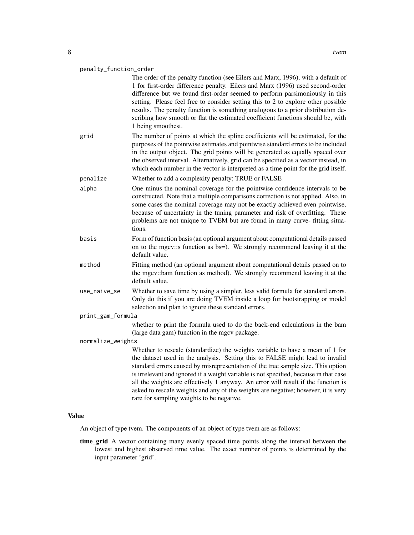#### penalty\_function\_order

The order of the penalty function (see Eilers and Marx, 1996), with a default of 1 for first-order difference penalty. Eilers and Marx (1996) used second-order difference but we found first-order seemed to perform parsimoniously in this setting. Please feel free to consider setting this to 2 to explore other possible results. The penalty function is something analogous to a prior distribution describing how smooth or flat the estimated coefficient functions should be, with 1 being smoothest. grid The number of points at which the spline coefficients will be estimated, for the purposes of the pointwise estimates and pointwise standard errors to be included in the output object. The grid points will be generated as equally spaced over the observed interval. Alternatively, grid can be specified as a vector instead, in which each number in the vector is interpreted as a time point for the grid itself. penalize Whether to add a complexity penalty; TRUE or FALSE alpha One minus the nominal coverage for the pointwise confidence intervals to be constructed. Note that a multiple comparisons correction is not applied. Also, in some cases the nominal coverage may not be exactly achieved even pointwise, because of uncertainty in the tuning parameter and risk of overfitting. These problems are not unique to TVEM but are found in many curve- fitting situations. basis Form of function basis (an optional argument about computational details passed on to the mgcv::s function as bs=). We strongly recommend leaving it at the default value. method Fitting method (an optional argument about computational details passed on to the mgcv::bam function as method). We strongly recommend leaving it at the

use\_naive\_se Whether to save time by using a simpler, less valid formula for standard errors. Only do this if you are doing TVEM inside a loop for bootstrapping or model selection and plan to ignore these standard errors.

#### print\_gam\_formula

default value.

whether to print the formula used to do the back-end calculations in the bam (large data gam) function in the mgcv package.

#### normalize\_weights

Whether to rescale (standardize) the weights variable to have a mean of 1 for the dataset used in the analysis. Setting this to FALSE might lead to invalid standard errors caused by misrepresentation of the true sample size. This option is irrelevant and ignored if a weight variable is not specified, because in that case all the weights are effectively 1 anyway. An error will result if the function is asked to rescale weights and any of the weights are negative; however, it is very rare for sampling weights to be negative.

#### Value

An object of type tvem. The components of an object of type tvem are as follows:

time\_grid A vector containing many evenly spaced time points along the interval between the lowest and highest observed time value. The exact number of points is determined by the input parameter 'grid'.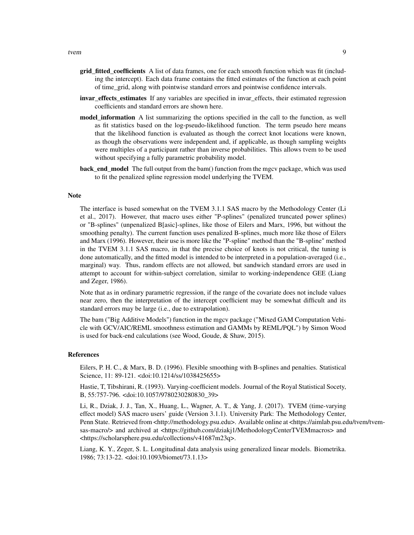- grid\_fitted\_coefficients A list of data frames, one for each smooth function which was fit (including the intercept). Each data frame contains the fitted estimates of the function at each point of time\_grid, along with pointwise standard errors and pointwise confidence intervals.
- invar effects estimates If any variables are specified in invar effects, their estimated regression coefficients and standard errors are shown here.
- model information A list summarizing the options specified in the call to the function, as well as fit statistics based on the log-pseudo-likelihood function. The term pseudo here means that the likelihood function is evaluated as though the correct knot locations were known, as though the observations were independent and, if applicable, as though sampling weights were multiples of a participant rather than inverse probabilities. This allows tvem to be used without specifying a fully parametric probability model.
- **back\_end\_model** The full output from the bam() function from the mgcv package, which was used to fit the penalized spline regression model underlying the TVEM.

#### Note

The interface is based somewhat on the TVEM 3.1.1 SAS macro by the Methodology Center (Li et al., 2017). However, that macro uses either "P-splines" (penalized truncated power splines) or "B-splines" (unpenalized B[asic]-splines, like those of Eilers and Marx, 1996, but without the smoothing penalty). The current function uses penalized B-splines, much more like those of Eilers and Marx (1996). However, their use is more like the "P-spline" method than the "B-spline" method in the TVEM 3.1.1 SAS macro, in that the precise choice of knots is not critical, the tuning is done automatically, and the fitted model is intended to be interpreted in a population-averaged (i.e., marginal) way. Thus, random effects are not allowed, but sandwich standard errors are used in attempt to account for within-subject correlation, similar to working-independence GEE (Liang and Zeger, 1986).

Note that as in ordinary parametric regression, if the range of the covariate does not include values near zero, then the interpretation of the intercept coefficient may be somewhat difficult and its standard errors may be large (i.e., due to extrapolation).

The bam ("Big Additive Models") function in the mgcv package ("Mixed GAM Computation Vehicle with GCV/AIC/REML smoothness estimation and GAMMs by REML/PQL") by Simon Wood is used for back-end calculations (see Wood, Goude, & Shaw, 2015).

#### **References**

Eilers, P. H. C., & Marx, B. D. (1996). Flexible smoothing with B-splines and penalties. Statistical Science, 11: 89-121. <doi:10.1214/ss/1038425655>

Hastie, T, Tibshirani, R. (1993). Varying-coefficient models. Journal of the Royal Statistical Socety, B, 55:757-796. <doi:10.1057/9780230280830\_39>

Li, R., Dziak, J. J., Tan, X., Huang, L., Wagner, A. T., & Yang, J. (2017). TVEM (time-varying effect model) SAS macro users' guide (Version 3.1.1). University Park: The Methodology Center, Penn State. Retrieved from <http://methodology.psu.edu>. Available online at <https://aimlab.psu.edu/tvem/tvemsas-macro/> and archived at <https://github.com/dziakj1/MethodologyCenterTVEMmacros> and <https://scholarsphere.psu.edu/collections/v41687m23q>.

Liang, K. Y., Zeger, S. L. Longitudinal data analysis using generalized linear models. Biometrika. 1986; 73:13-22. <doi:10.1093/biomet/73.1.13>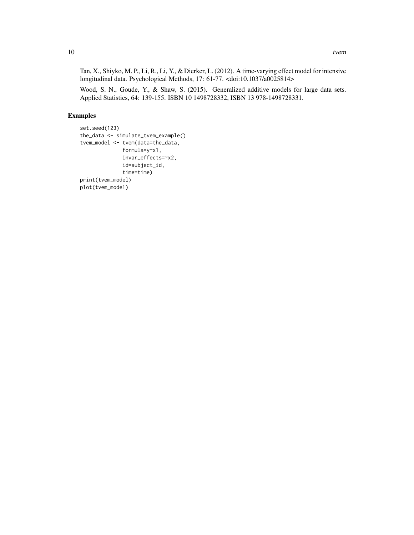Tan, X., Shiyko, M. P., Li, R., Li, Y., & Dierker, L. (2012). A time-varying effect model for intensive longitudinal data. Psychological Methods, 17: 61-77. <doi:10.1037/a0025814>

Wood, S. N., Goude, Y., & Shaw, S. (2015). Generalized additive models for large data sets. Applied Statistics, 64: 139-155. ISBN 10 1498728332, ISBN 13 978-1498728331.

#### Examples

```
set.seed(123)
the_data <- simulate_tvem_example()
tvem_model <- tvem(data=the_data,
             formula=y~x1,
              invar_effects=~x2,
              id=subject_id,
              time=time)
print(tvem_model)
plot(tvem_model)
```